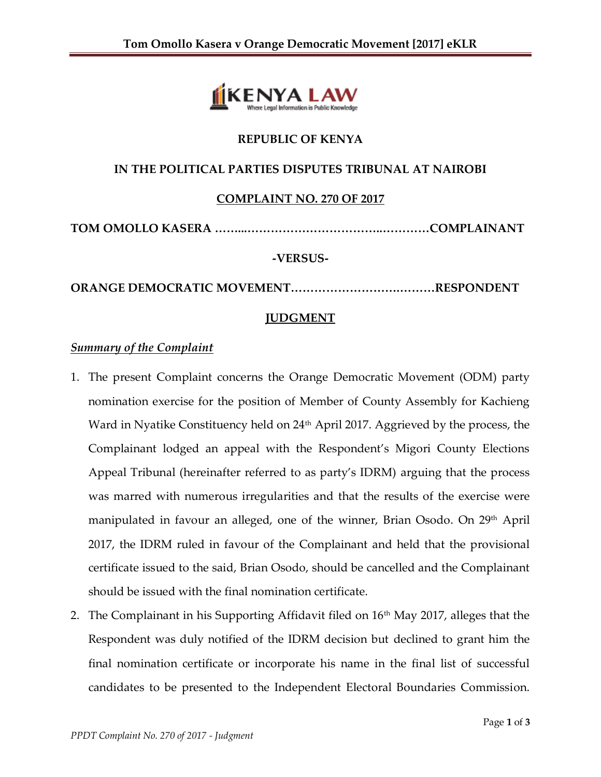

# **REPUBLIC OF KENYA**

# **IN THE POLITICAL PARTIES DISPUTES TRIBUNAL AT NAIROBI**

# **COMPLAINT NO. 270 OF 2017**

**TOM OMOLLO KASERA ……...……………………………..…………COMPLAINANT**

### **-VERSUS-**

**ORANGE DEMOCRATIC MOVEMENT……………………….………RESPONDENT**

# **JUDGMENT**

### *Summary of the Complaint*

- 1. The present Complaint concerns the Orange Democratic Movement (ODM) party nomination exercise for the position of Member of County Assembly for Kachieng Ward in Nyatike Constituency held on 24<sup>th</sup> April 2017. Aggrieved by the process, the Complainant lodged an appeal with the Respondent's Migori County Elections Appeal Tribunal (hereinafter referred to as party's IDRM) arguing that the process was marred with numerous irregularities and that the results of the exercise were manipulated in favour an alleged, one of the winner, Brian Osodo. On 29<sup>th</sup> April 2017, the IDRM ruled in favour of the Complainant and held that the provisional certificate issued to the said, Brian Osodo, should be cancelled and the Complainant should be issued with the final nomination certificate.
- 2. The Complainant in his Supporting Affidavit filed on  $16<sup>th</sup>$  May 2017, alleges that the Respondent was duly notified of the IDRM decision but declined to grant him the final nomination certificate or incorporate his name in the final list of successful candidates to be presented to the Independent Electoral Boundaries Commission.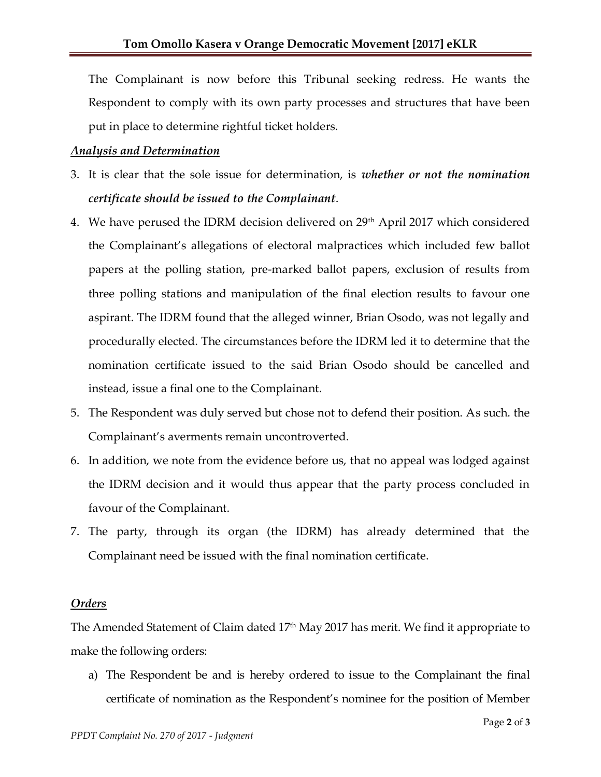The Complainant is now before this Tribunal seeking redress. He wants the Respondent to comply with its own party processes and structures that have been put in place to determine rightful ticket holders.

#### *Analysis and Determination*

- 3. It is clear that the sole issue for determination, is *whether or not the nomination certificate should be issued to the Complainant*.
- 4. We have perused the IDRM decision delivered on 29th April 2017 which considered the Complainant's allegations of electoral malpractices which included few ballot papers at the polling station, pre-marked ballot papers, exclusion of results from three polling stations and manipulation of the final election results to favour one aspirant. The IDRM found that the alleged winner, Brian Osodo, was not legally and procedurally elected. The circumstances before the IDRM led it to determine that the nomination certificate issued to the said Brian Osodo should be cancelled and instead, issue a final one to the Complainant.
- 5. The Respondent was duly served but chose not to defend their position. As such. the Complainant's averments remain uncontroverted.
- 6. In addition, we note from the evidence before us, that no appeal was lodged against the IDRM decision and it would thus appear that the party process concluded in favour of the Complainant.
- 7. The party, through its organ (the IDRM) has already determined that the Complainant need be issued with the final nomination certificate.

### *Orders*

The Amended Statement of Claim dated 17th May 2017 has merit. We find it appropriate to make the following orders:

a) The Respondent be and is hereby ordered to issue to the Complainant the final certificate of nomination as the Respondent's nominee for the position of Member